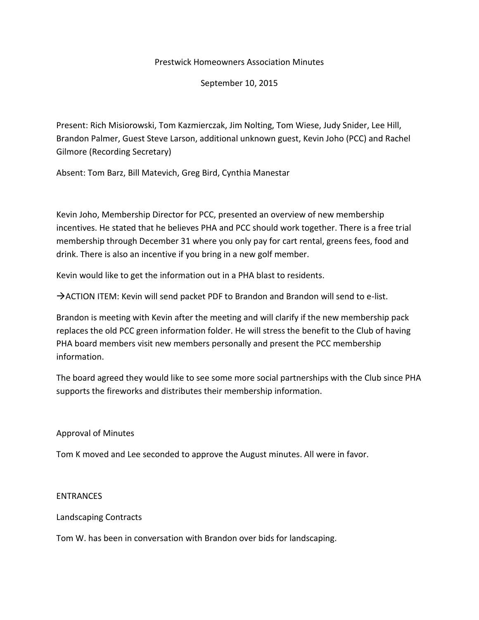### Prestwick Homeowners Association Minutes

### September 10, 2015

Present: Rich Misiorowski, Tom Kazmierczak, Jim Nolting, Tom Wiese, Judy Snider, Lee Hill, Brandon Palmer, Guest Steve Larson, additional unknown guest, Kevin Joho (PCC) and Rachel Gilmore (Recording Secretary)

Absent: Tom Barz, Bill Matevich, Greg Bird, Cynthia Manestar

Kevin Joho, Membership Director for PCC, presented an overview of new membership incentives. He stated that he believes PHA and PCC should work together. There is a free trial membership through December 31 where you only pay for cart rental, greens fees, food and drink. There is also an incentive if you bring in a new golf member.

Kevin would like to get the information out in a PHA blast to residents.

ACTION ITEM: Kevin will send packet PDF to Brandon and Brandon will send to e-list.

Brandon is meeting with Kevin after the meeting and will clarify if the new membership pack replaces the old PCC green information folder. He will stress the benefit to the Club of having PHA board members visit new members personally and present the PCC membership information.

The board agreed they would like to see some more social partnerships with the Club since PHA supports the fireworks and distributes their membership information.

### Approval of Minutes

Tom K moved and Lee seconded to approve the August minutes. All were in favor.

#### ENTRANCES

Landscaping Contracts

Tom W. has been in conversation with Brandon over bids for landscaping.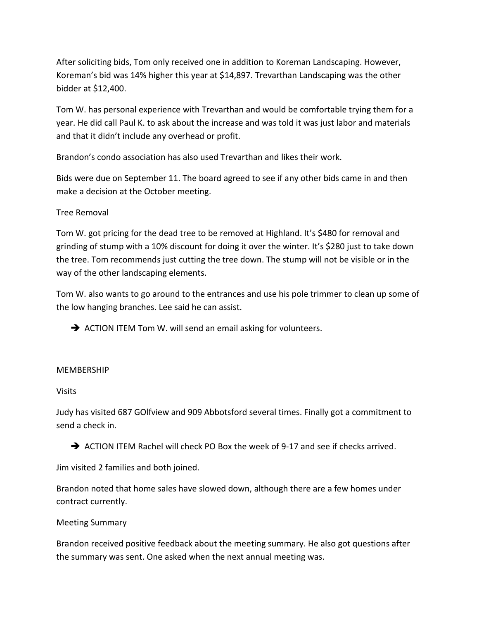After soliciting bids, Tom only received one in addition to Koreman Landscaping. However, Koreman's bid was 14% higher this year at \$14,897. Trevarthan Landscaping was the other bidder at \$12,400.

Tom W. has personal experience with Trevarthan and would be comfortable trying them for a year. He did call Paul K. to ask about the increase and was told it was just labor and materials and that it didn't include any overhead or profit.

Brandon's condo association has also used Trevarthan and likes their work.

Bids were due on September 11. The board agreed to see if any other bids came in and then make a decision at the October meeting.

# Tree Removal

Tom W. got pricing for the dead tree to be removed at Highland. It's \$480 for removal and grinding of stump with a 10% discount for doing it over the winter. It's \$280 just to take down the tree. Tom recommends just cutting the tree down. The stump will not be visible or in the way of the other landscaping elements.

Tom W. also wants to go around to the entrances and use his pole trimmer to clean up some of the low hanging branches. Lee said he can assist.

 $\rightarrow$  ACTION ITEM Tom W. will send an email asking for volunteers.

# MEMBERSHIP

Visits

Judy has visited 687 GOlfview and 909 Abbotsford several times. Finally got a commitment to send a check in.

 $\rightarrow$  ACTION ITEM Rachel will check PO Box the week of 9-17 and see if checks arrived.

Jim visited 2 families and both joined.

Brandon noted that home sales have slowed down, although there are a few homes under contract currently.

# Meeting Summary

Brandon received positive feedback about the meeting summary. He also got questions after the summary was sent. One asked when the next annual meeting was.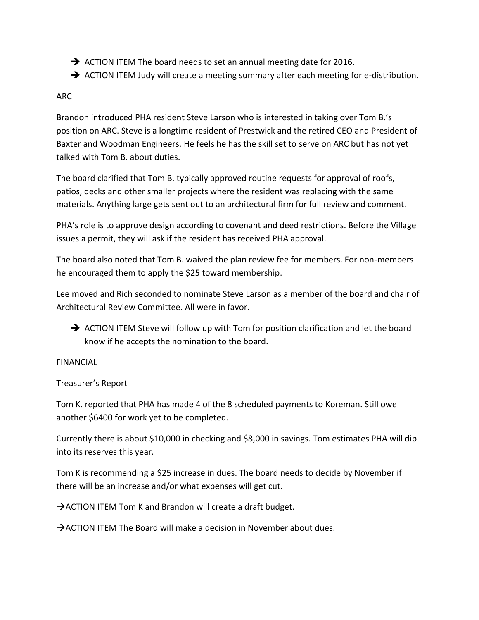- $\rightarrow$  ACTION ITEM The board needs to set an annual meeting date for 2016.
- $\rightarrow$  ACTION ITEM Judy will create a meeting summary after each meeting for e-distribution.

# ARC

Brandon introduced PHA resident Steve Larson who is interested in taking over Tom B.'s position on ARC. Steve is a longtime resident of Prestwick and the retired CEO and President of Baxter and Woodman Engineers. He feels he has the skill set to serve on ARC but has not yet talked with Tom B. about duties.

The board clarified that Tom B. typically approved routine requests for approval of roofs, patios, decks and other smaller projects where the resident was replacing with the same materials. Anything large gets sent out to an architectural firm for full review and comment.

PHA's role is to approve design according to covenant and deed restrictions. Before the Village issues a permit, they will ask if the resident has received PHA approval.

The board also noted that Tom B. waived the plan review fee for members. For non-members he encouraged them to apply the \$25 toward membership.

Lee moved and Rich seconded to nominate Steve Larson as a member of the board and chair of Architectural Review Committee. All were in favor.

ACTION ITEM Steve will follow up with Tom for position clarification and let the board know if he accepts the nomination to the board.

# FINANCIAL

# Treasurer's Report

Tom K. reported that PHA has made 4 of the 8 scheduled payments to Koreman. Still owe another \$6400 for work yet to be completed.

Currently there is about \$10,000 in checking and \$8,000 in savings. Tom estimates PHA will dip into its reserves this year.

Tom K is recommending a \$25 increase in dues. The board needs to decide by November if there will be an increase and/or what expenses will get cut.

 $\rightarrow$  ACTION ITEM Tom K and Brandon will create a draft budget.

 $\rightarrow$  ACTION ITEM The Board will make a decision in November about dues.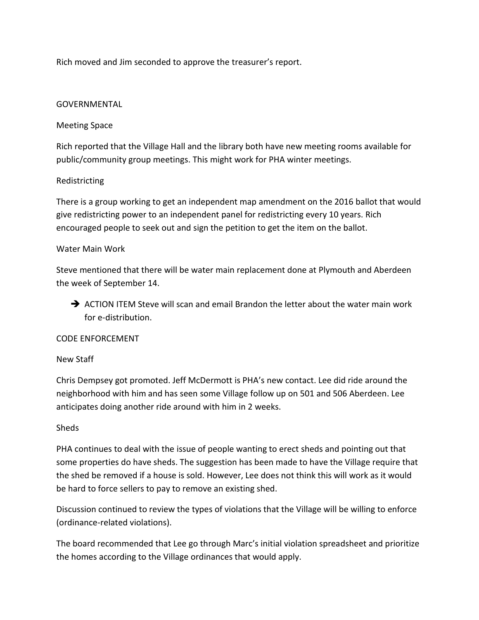Rich moved and Jim seconded to approve the treasurer's report.

# GOVERNMENTAL

# Meeting Space

Rich reported that the Village Hall and the library both have new meeting rooms available for public/community group meetings. This might work for PHA winter meetings.

# Redistricting

There is a group working to get an independent map amendment on the 2016 ballot that would give redistricting power to an independent panel for redistricting every 10 years. Rich encouraged people to seek out and sign the petition to get the item on the ballot.

### Water Main Work

Steve mentioned that there will be water main replacement done at Plymouth and Aberdeen the week of September 14.

 $\rightarrow$  ACTION ITEM Steve will scan and email Brandon the letter about the water main work for e-distribution.

### CODE ENFORCEMENT

### New Staff

Chris Dempsey got promoted. Jeff McDermott is PHA's new contact. Lee did ride around the neighborhood with him and has seen some Village follow up on 501 and 506 Aberdeen. Lee anticipates doing another ride around with him in 2 weeks.

### Sheds

PHA continues to deal with the issue of people wanting to erect sheds and pointing out that some properties do have sheds. The suggestion has been made to have the Village require that the shed be removed if a house is sold. However, Lee does not think this will work as it would be hard to force sellers to pay to remove an existing shed.

Discussion continued to review the types of violations that the Village will be willing to enforce (ordinance-related violations).

The board recommended that Lee go through Marc's initial violation spreadsheet and prioritize the homes according to the Village ordinances that would apply.